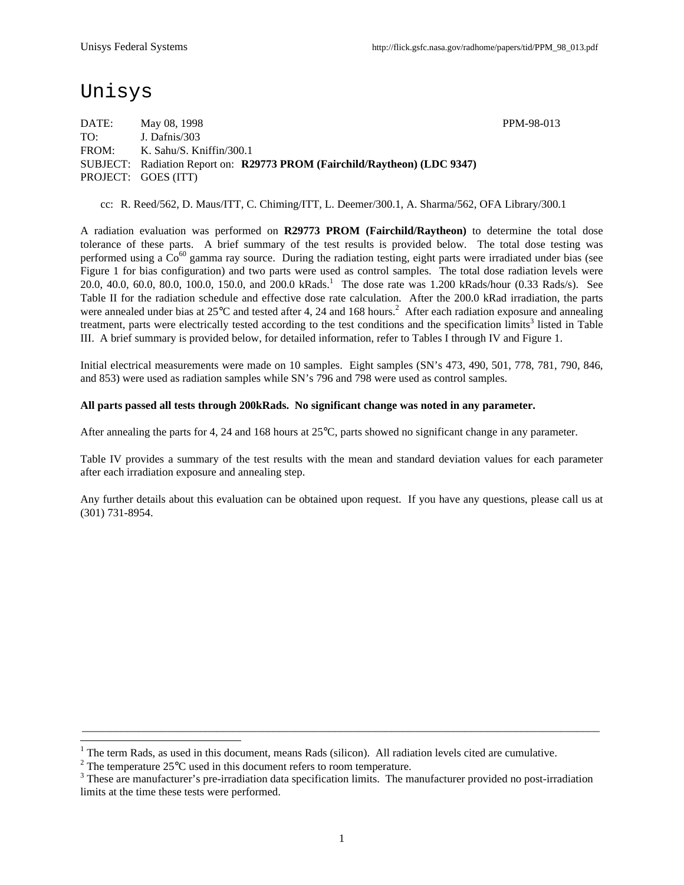# Unisys

 $\overline{a}$ 

DATE: May 08, 1998 PPM-98-013 TO: J. Dafnis/303 FROM: K. Sahu/S. Kniffin/300.1 SUBJECT: Radiation Report on: **R29773 PROM (Fairchild/Raytheon) (LDC 9347)** PROJECT: GOES (ITT)

cc: R. Reed/562, D. Maus/ITT, C. Chiming/ITT, L. Deemer/300.1, A. Sharma/562, OFA Library/300.1

A radiation evaluation was performed on **R29773 PROM (Fairchild/Raytheon)** to determine the total dose tolerance of these parts. A brief summary of the test results is provided below. The total dose testing was performed using a  $Co^{60}$  gamma ray source. During the radiation testing, eight parts were irradiated under bias (see Figure 1 for bias configuration) and two parts were used as control samples. The total dose radiation levels were 20.0, 40.0, 60.0, 80.0, 100.0, 150.0, and 200.0 kRads.<sup>1</sup> The dose rate was 1.200 kRads/hour (0.33 Rads/s). See Table II for the radiation schedule and effective dose rate calculation. After the 200.0 kRad irradiation, the parts were annealed under bias at  $25^{\circ}$ C and tested after 4, 24 and 168 hours.<sup>2</sup> After each radiation exposure and annealing treatment, parts were electrically tested according to the test conditions and the specification limits<sup>3</sup> listed in Table III. A brief summary is provided below, for detailed information, refer to Tables I through IV and Figure 1.

Initial electrical measurements were made on 10 samples. Eight samples (SN's 473, 490, 501, 778, 781, 790, 846, and 853) were used as radiation samples while SN's 796 and 798 were used as control samples.

#### **All parts passed all tests through 200kRads. No significant change was noted in any parameter.**

After annealing the parts for 4, 24 and 168 hours at 25°C, parts showed no significant change in any parameter.

Table IV provides a summary of the test results with the mean and standard deviation values for each parameter after each irradiation exposure and annealing step.

Any further details about this evaluation can be obtained upon request. If you have any questions, please call us at (301) 731-8954.

\_\_\_\_\_\_\_\_\_\_\_\_\_\_\_\_\_\_\_\_\_\_\_\_\_\_\_\_\_\_\_\_\_\_\_\_\_\_\_\_\_\_\_\_\_\_\_\_\_\_\_\_\_\_\_\_\_\_\_\_\_\_\_\_\_\_\_\_\_\_\_\_\_\_\_\_\_\_\_\_\_\_\_\_\_\_\_\_\_\_\_\_

<sup>1</sup> The term Rads, as used in this document, means Rads (silicon). All radiation levels cited are cumulative.

<sup>&</sup>lt;sup>2</sup> The temperature 25 $\mathrm{^{\circ}C}$  used in this document refers to room temperature.

 $3$  These are manufacturer's pre-irradiation data specification limits. The manufacturer provided no post-irradiation limits at the time these tests were performed.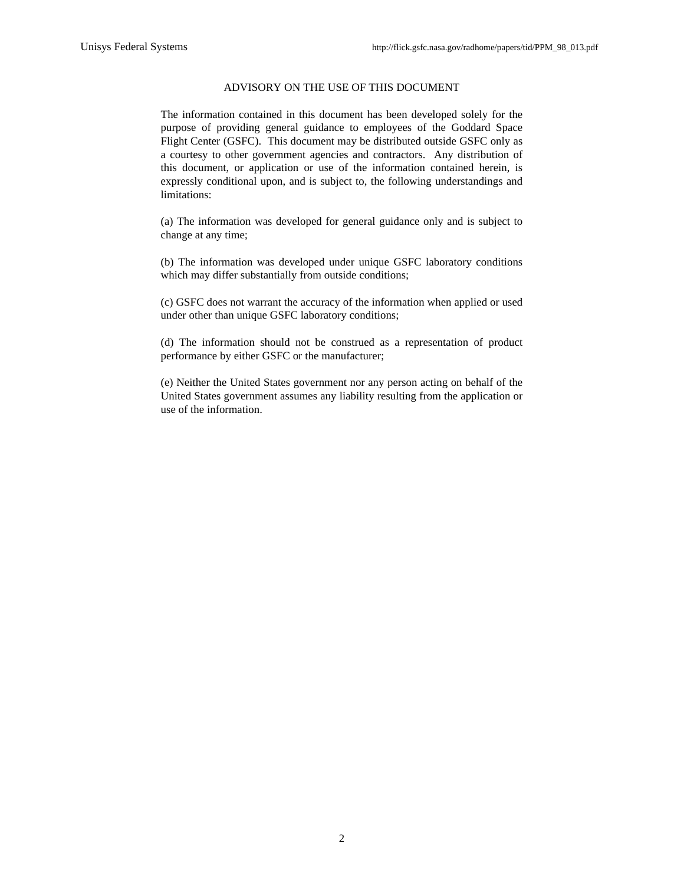#### ADVISORY ON THE USE OF THIS DOCUMENT

The information contained in this document has been developed solely for the purpose of providing general guidance to employees of the Goddard Space Flight Center (GSFC). This document may be distributed outside GSFC only as a courtesy to other government agencies and contractors. Any distribution of this document, or application or use of the information contained herein, is expressly conditional upon, and is subject to, the following understandings and limitations:

(a) The information was developed for general guidance only and is subject to change at any time;

(b) The information was developed under unique GSFC laboratory conditions which may differ substantially from outside conditions;

(c) GSFC does not warrant the accuracy of the information when applied or used under other than unique GSFC laboratory conditions;

(d) The information should not be construed as a representation of product performance by either GSFC or the manufacturer;

(e) Neither the United States government nor any person acting on behalf of the United States government assumes any liability resulting from the application or use of the information.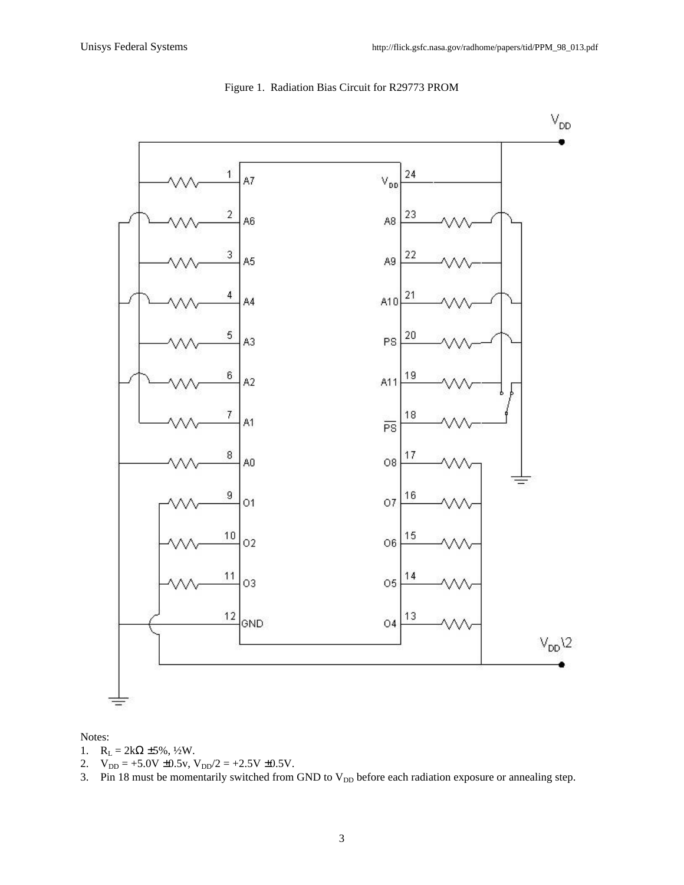

#### Figure 1. Radiation Bias Circuit for R29773 PROM

#### Notes:

- 1.  $R_L = 2k\Omega \pm 5\%, \frac{1}{2}W$ .
- 2.  $V_{DD} = +5.0V \pm 0.5v$ ,  $V_{DD}/2 = +2.5V \pm 0.5V$ .
- 3. Pin 18 must be momentarily switched from GND to  $V_{DD}$  before each radiation exposure or annealing step.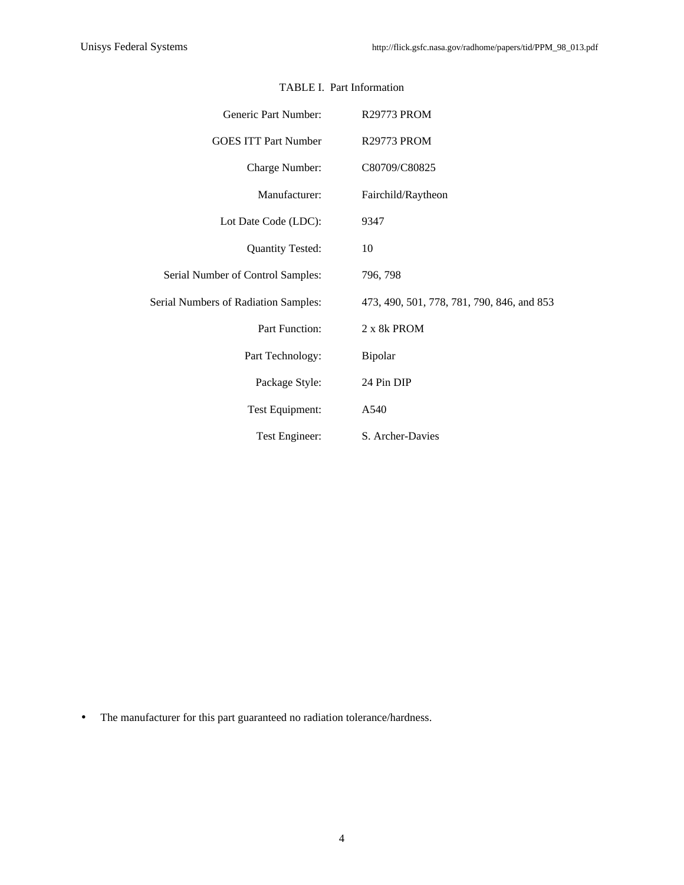| Generic Part Number:                 | <b>R29773 PROM</b>                         |  |  |  |  |  |  |  |
|--------------------------------------|--------------------------------------------|--|--|--|--|--|--|--|
| <b>GOES ITT Part Number</b>          | <b>R29773 PROM</b>                         |  |  |  |  |  |  |  |
| Charge Number:                       | C80709/C80825                              |  |  |  |  |  |  |  |
| Manufacturer:                        | Fairchild/Raytheon                         |  |  |  |  |  |  |  |
| Lot Date Code (LDC):                 | 9347                                       |  |  |  |  |  |  |  |
| <b>Quantity Tested:</b>              | 10                                         |  |  |  |  |  |  |  |
| Serial Number of Control Samples:    | 796, 798                                   |  |  |  |  |  |  |  |
| Serial Numbers of Radiation Samples: | 473, 490, 501, 778, 781, 790, 846, and 853 |  |  |  |  |  |  |  |
| Part Function:                       | 2 x 8k PROM                                |  |  |  |  |  |  |  |
| Part Technology:                     | Bipolar                                    |  |  |  |  |  |  |  |
| Package Style:                       | 24 Pin DIP                                 |  |  |  |  |  |  |  |
| Test Equipment:                      | A540                                       |  |  |  |  |  |  |  |
| Test Engineer:                       | S. Archer-Davies                           |  |  |  |  |  |  |  |

## TABLE I. Part Information

• The manufacturer for this part guaranteed no radiation tolerance/hardness.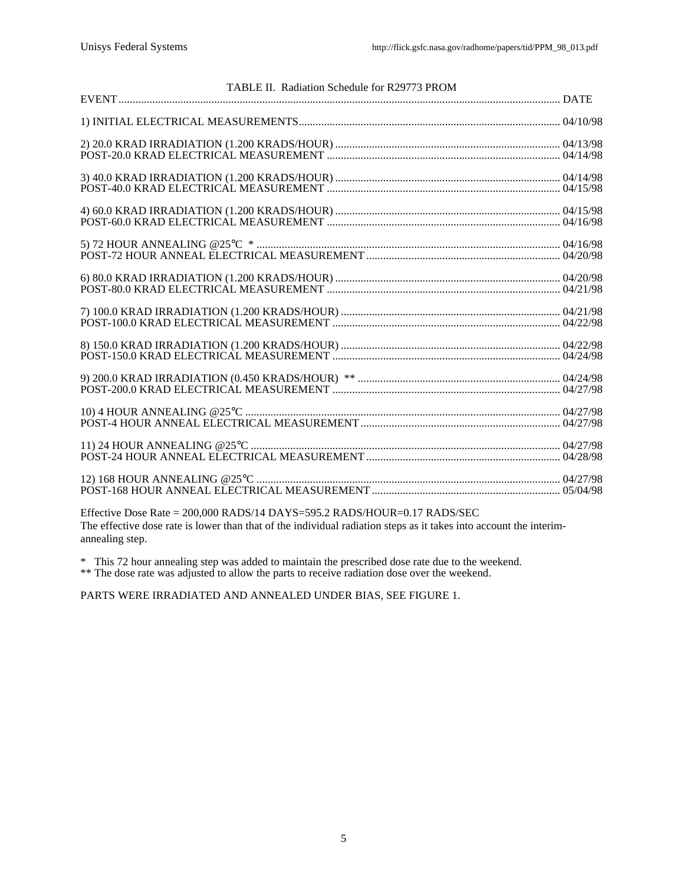| TABLE II. Radiation Schedule for R29773 PROM |  |
|----------------------------------------------|--|
|                                              |  |
|                                              |  |
|                                              |  |
|                                              |  |
|                                              |  |
|                                              |  |
|                                              |  |
|                                              |  |
|                                              |  |
|                                              |  |
|                                              |  |
|                                              |  |
|                                              |  |
|                                              |  |
|                                              |  |
|                                              |  |
|                                              |  |
|                                              |  |
|                                              |  |
|                                              |  |
|                                              |  |
|                                              |  |
|                                              |  |
|                                              |  |
|                                              |  |

Effective Dose Rate = 200,000 RADS/14 DAYS=595.2 RADS/HOUR=0.17 RADS/SEC The effective dose rate is lower than that of the individual radiation steps as it takes into account the interimannealing step.

\* This 72 hour annealing step was added to maintain the prescribed dose rate due to the weekend.

\*\* The dose rate was adjusted to allow the parts to receive radiation dose over the weekend.

PARTS WERE IRRADIATED AND ANNEALED UNDER BIAS, SEE FIGURE 1.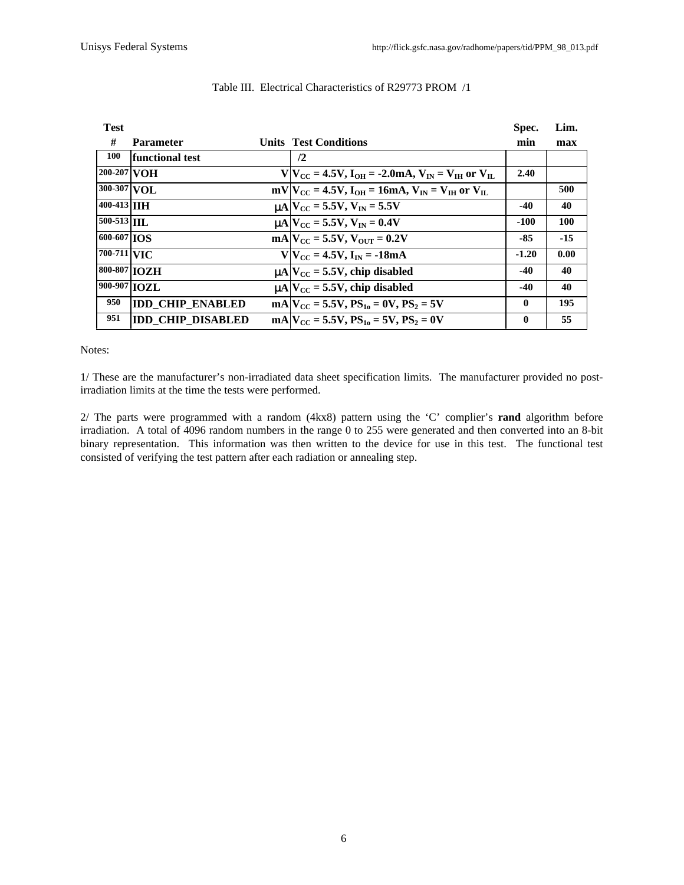| <b>Test</b>        |                          |                                                                       | Spec.    | Lim.  |
|--------------------|--------------------------|-----------------------------------------------------------------------|----------|-------|
| #                  | <b>Parameter</b>         | <b>Units Test Conditions</b>                                          | min      | max   |
| <b>100</b>         | functional test          | $\sqrt{2}$                                                            |          |       |
| 200-207 VOH        |                          | $V V_{CC} = 4.5V$ , $I_{OH} = -2.0mA$ , $V_{IN} = V_{IH}$ or $V_{IL}$ | 2.40     |       |
| 300-307 VOL        |                          | $mV V_{CC} = 4.5V$ , $I_{OH} = 16mA$ , $V_{IN} = V_{IH}$ or $V_{IL}$  |          | 500   |
| 400-413 <b>IIH</b> |                          | $\mu$ A $V_{\text{CC}}$ = 5.5V, $V_{\text{IN}}$ = 5.5V                | $-40$    | 40    |
| 500-513 IIL        |                          | $\mu$ A $V_{\text{CC}}$ = 5.5V, $V_{\text{IN}}$ = 0.4V                | -100     | 100   |
| $600 - 607$ $\log$ |                          | $mA$ $V_{CC}$ = 5.5V, $V_{OUT}$ = 0.2V                                | -85      | $-15$ |
| 700-711 VIC        |                          | $V/V_{CC} = 4.5V$ , $I_{IN} = -18mA$                                  | $-1.20$  | 0.00  |
| 800-807 IOZH       |                          | $\mu$ A $V_{\text{CC}}$ = 5.5V, chip disabled                         | $-40$    | 40    |
| 900-907 IOZL       |                          | $\mu$ A $V_{\text{CC}}$ = 5.5V, chip disabled                         | $-40$    | 40    |
| 950                | <b>IDD CHIP ENABLED</b>  | $mA/V_{CC} = 5.5V$ , $PS_{10} = 0V$ , $PS_2 = 5V$                     | 0        | 195   |
| 951                | <b>IDD CHIP DISABLED</b> | $mA/V_{CC} = 5.5V$ , $PS_{10} = 5V$ , $PS_2 = 0V$                     | $\bf{0}$ | 55    |

### Table III. Electrical Characteristics of R29773 PROM /1

#### Notes:

1/ These are the manufacturer's non-irradiated data sheet specification limits. The manufacturer provided no postirradiation limits at the time the tests were performed.

2/ The parts were programmed with a random (4kx8) pattern using the 'C' complier's **rand** algorithm before irradiation. A total of 4096 random numbers in the range 0 to 255 were generated and then converted into an 8-bit binary representation. This information was then written to the device for use in this test. The functional test consisted of verifying the test pattern after each radiation or annealing step.